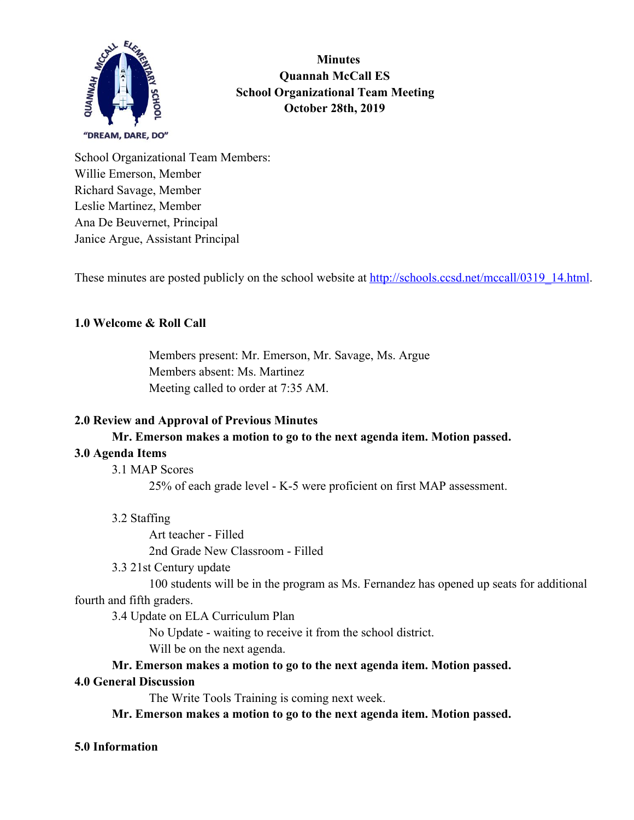

 **Minutes Quannah McCall ES School Organizational Team Meeting October 28th, 2019**

School Organizational Team Members: Willie Emerson, Member Richard Savage, Member Leslie Martinez, Member Ana De Beuvernet, Principal Janice Argue, Assistant Principal

These minutes are posted publicly on the school website at  $\frac{http://schools.ccsd.net/mccall/0319~14.html}{http://schools.ccsd.net/mccall/0319~14.html}$ .

# **1.0 Welcome & Roll Call**

Members present: Mr. Emerson, Mr. Savage, Ms. Argue Members absent: Ms. Martinez Meeting called to order at 7:35 AM.

### **2.0 Review and Approval of Previous Minutes**

### **Mr. Emerson makes a motion to go to the next agenda item. Motion passed.**

### **3.0 Agenda Items**

3.1 MAP Scores

25% of each grade level - K-5 were proficient on first MAP assessment.

3.2 Staffing

Art teacher - Filled 2nd Grade New Classroom - Filled

3.3 21st Century update

100 students will be in the program as Ms. Fernandez has opened up seats for additional fourth and fifth graders.

3.4 Update on ELA Curriculum Plan

No Update - waiting to receive it from the school district.

Will be on the next agenda.

**Mr. Emerson makes a motion to go to the next agenda item. Motion passed.**

#### **4.0 General Discussion**

The Write Tools Training is coming next week.

**Mr. Emerson makes a motion to go to the next agenda item. Motion passed.**

# **5.0 Information**